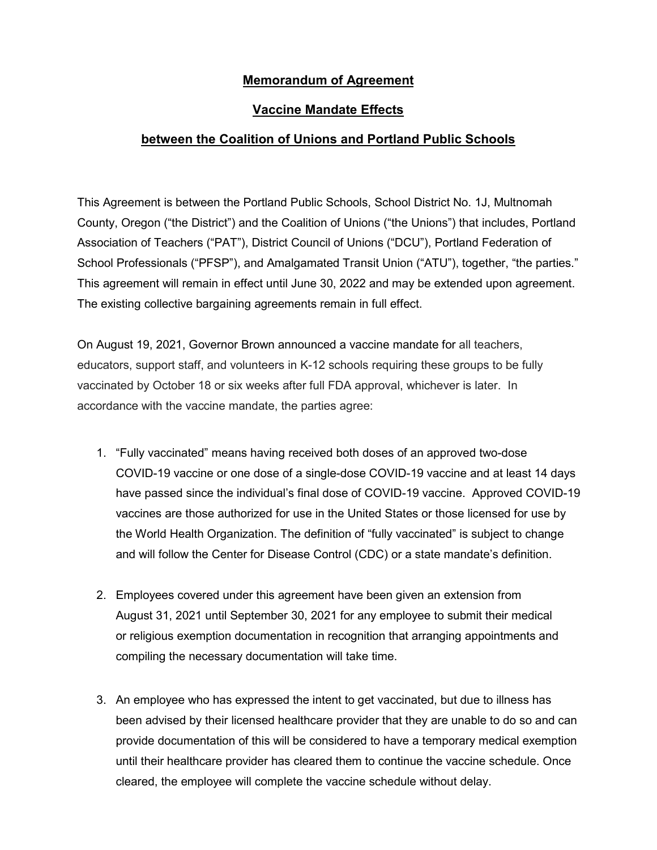## **Memorandum of Agreement**

## **Vaccine Mandate Effects**

## **between the Coalition of Unions and Portland Public Schools**

This Agreement is between the Portland Public Schools, School District No. 1J, Multnomah County, Oregon ("the District") and the Coalition of Unions ("the Unions") that includes, Portland Association of Teachers ("PAT"), District Council of Unions ("DCU"), Portland Federation of School Professionals ("PFSP"), and Amalgamated Transit Union ("ATU"), together, "the parties." This agreement will remain in effect until June 30, 2022 and may be extended upon agreement. The existing collective bargaining agreements remain in full effect.

On August 19, 2021, Governor Brown announced a vaccine mandate for all teachers, educators, support staff, and volunteers in K-12 schools requiring these groups to be fully vaccinated by October 18 or six weeks after full FDA approval, whichever is later. In accordance with the vaccine mandate, the parties agree:

- 1. "Fully vaccinated" means having received both doses of an approved two-dose COVID-19 vaccine or one dose of a single-dose COVID-19 vaccine and at least 14 days have passed since the individual's final dose of COVID-19 vaccine. Approved COVID-19 vaccines are those authorized for use in the United States or those licensed for use by the World Health Organization. The definition of "fully vaccinated" is subject to change and will follow the Center for Disease Control (CDC) or a state mandate's definition.
- 2. Employees covered under this agreement have been given an extension from August 31, 2021 until September 30, 2021 for any employee to submit their medical or religious exemption documentation in recognition that arranging appointments and compiling the necessary documentation will take time.
- 3. An employee who has expressed the intent to get vaccinated, but due to illness has been advised by their licensed healthcare provider that they are unable to do so and can provide documentation of this will be considered to have a temporary medical exemption until their healthcare provider has cleared them to continue the vaccine schedule. Once cleared, the employee will complete the vaccine schedule without delay.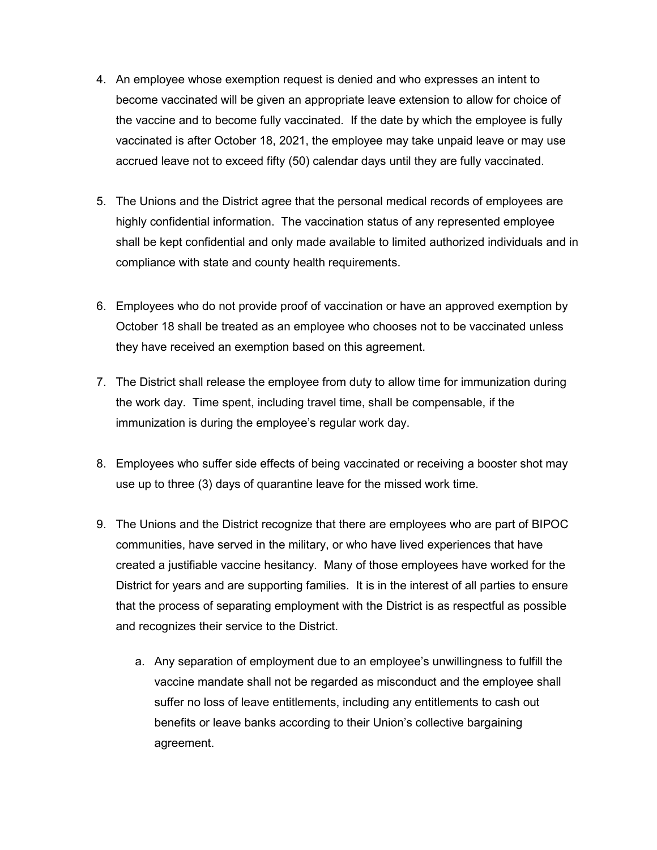- 4. An employee whose exemption request is denied and who expresses an intent to become vaccinated will be given an appropriate leave extension to allow for choice of the vaccine and to become fully vaccinated. If the date by which the employee is fully vaccinated is after October 18, 2021, the employee may take unpaid leave or may use accrued leave not to exceed fifty (50) calendar days until they are fully vaccinated.
- 5. The Unions and the District agree that the personal medical records of employees are highly confidential information. The vaccination status of any represented employee shall be kept confidential and only made available to limited authorized individuals and in compliance with state and county health requirements.
- 6. Employees who do not provide proof of vaccination or have an approved exemption by October 18 shall be treated as an employee who chooses not to be vaccinated unless they have received an exemption based on this agreement.
- 7. The District shall release the employee from duty to allow time for immunization during the work day. Time spent, including travel time, shall be compensable, if the immunization is during the employee's regular work day.
- 8. Employees who suffer side effects of being vaccinated or receiving a booster shot may use up to three (3) days of quarantine leave for the missed work time.
- 9. The Unions and the District recognize that there are employees who are part of BIPOC communities, have served in the military, or who have lived experiences that have created a justifiable vaccine hesitancy. Many of those employees have worked for the District for years and are supporting families. It is in the interest of all parties to ensure that the process of separating employment with the District is as respectful as possible and recognizes their service to the District.
	- a. Any separation of employment due to an employee's unwillingness to fulfill the vaccine mandate shall not be regarded as misconduct and the employee shall suffer no loss of leave entitlements, including any entitlements to cash out benefits or leave banks according to their Union's collective bargaining agreement.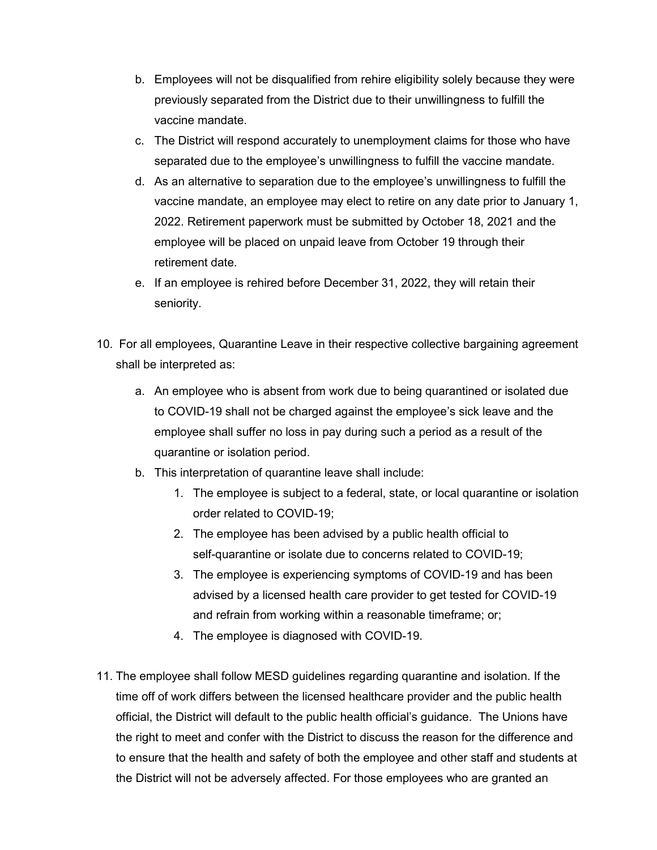- b. Employees will not be disqualified from rehire eligibility solely because they were previously separated from the District due to their unwillingness to fulfill the vaccine mandate.
- c. The District will respond accurately to unemployment claims for those who have separated due to the employee's unwillingness to fulfill the vaccine mandate.
- d. As an alternative to separation due to the employee's unwillingness to fulfill the vaccine mandate, an employee may elect to retire on any date prior to January 1, 2022. Retirement paperwork must be submitted by October 18, 2021 and the employee will be placed on unpaid leave from October 19 through their retirement date.
- e. If an employee is rehired before December 31, 2022, they will retain their seniority.
- 10. For all employees, Quarantine Leave in their respective collective bargaining agreement shall be interpreted as:
	- a. An employee who is absent from work due to being quarantined or isolated due to COVID-19 shall not be charged against the employee's sick leave and the employee shall suffer no loss in pay during such a period as a result of the quarantine or isolation period.
	- b. This interpretation of quarantine leave shall include:
		- 1. The employee is subject to a federal, state, or local quarantine or isolation order related to COVID-19;
		- 2. The employee has been advised by a public health official to self-quarantine or isolate due to concerns related to COVID-19;
		- 3. The employee is experiencing symptoms of COVID-19 and has been advised by a licensed health care provider to get tested for COVID-19 and refrain from working within a reasonable timeframe; or;
		- 4. The employee is diagnosed with COVID-19.
- 11. The employee shall follow MESD guidelines regarding quarantine and isolation. If the time off of work differs between the licensed healthcare provider and the public health official, the District will default to the public health official's guidance. The Unions have the right to meet and confer with the District to discuss the reason for the difference and to ensure that the health and safety of both the employee and other staff and students at the District will not be adversely affected. For those employees who are granted an